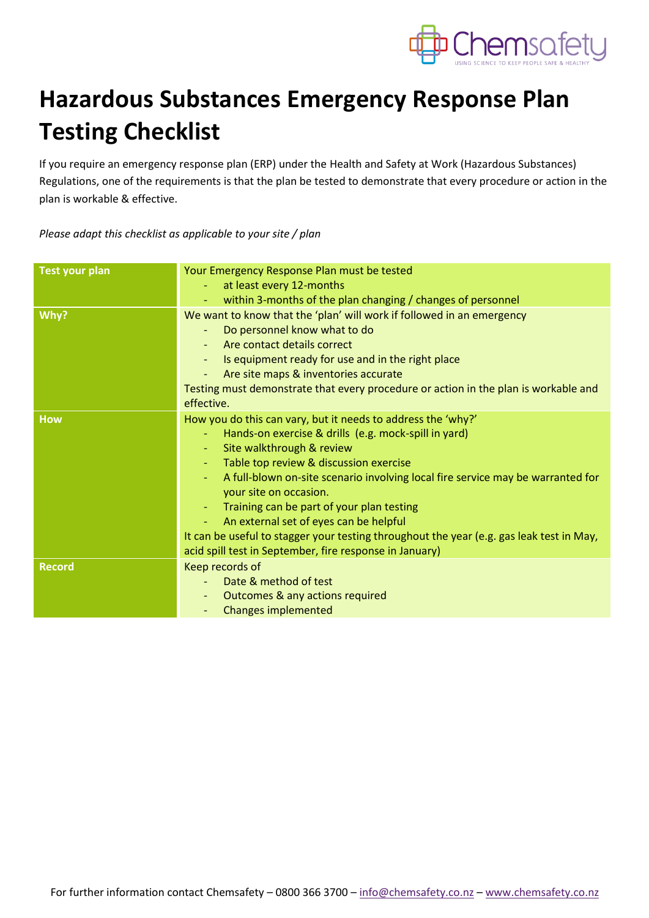

## **Hazardous Substances Emergency Response Plan Testing Checklist**

If you require an emergency response plan (ERP) under the Health and Safety at Work (Hazardous Substances) Regulations, one of the requirements is that the plan be tested to demonstrate that every procedure or action in the plan is workable & effective.

*Please adapt this checklist as applicable to your site / plan*

| <b>Test your plan</b> | Your Emergency Response Plan must be tested                                              |  |
|-----------------------|------------------------------------------------------------------------------------------|--|
|                       | at least every 12-months<br>$\equiv$                                                     |  |
|                       | within 3-months of the plan changing / changes of personnel                              |  |
| Why?                  | We want to know that the 'plan' will work if followed in an emergency                    |  |
|                       | Do personnel know what to do<br>$\overline{\phantom{a}}$                                 |  |
|                       | Are contact details correct                                                              |  |
|                       | Is equipment ready for use and in the right place                                        |  |
|                       | Are site maps & inventories accurate                                                     |  |
|                       | Testing must demonstrate that every procedure or action in the plan is workable and      |  |
|                       | effective.                                                                               |  |
| <b>How</b>            | How you do this can vary, but it needs to address the 'why?'                             |  |
|                       | Hands-on exercise & drills (e.g. mock-spill in yard)<br>$\blacksquare$                   |  |
|                       | Site walkthrough & review<br>$\blacksquare$                                              |  |
|                       | Table top review & discussion exercise                                                   |  |
|                       | A full-blown on-site scenario involving local fire service may be warranted for          |  |
|                       | your site on occasion.                                                                   |  |
|                       | Training can be part of your plan testing                                                |  |
|                       | An external set of eyes can be helpful                                                   |  |
|                       | It can be useful to stagger your testing throughout the year (e.g. gas leak test in May, |  |
|                       | acid spill test in September, fire response in January)                                  |  |
| <b>Record</b>         | Keep records of                                                                          |  |
|                       | Date & method of test                                                                    |  |
|                       | Outcomes & any actions required<br>٠                                                     |  |
|                       | <b>Changes implemented</b><br>$\overline{\phantom{a}}$                                   |  |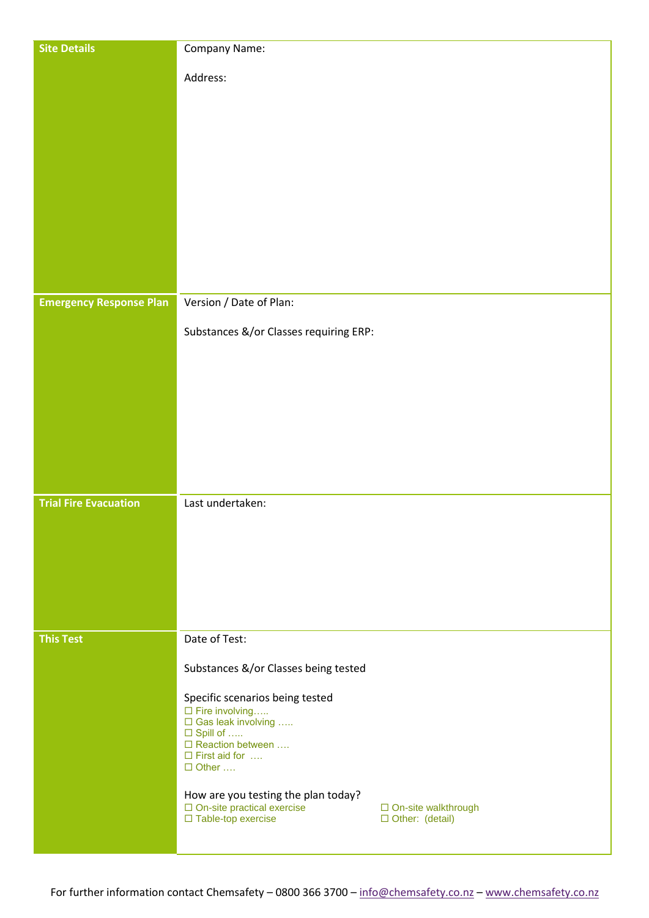| <b>Site Details</b>            | Company Name:                                                            |                       |
|--------------------------------|--------------------------------------------------------------------------|-----------------------|
|                                | Address:                                                                 |                       |
|                                |                                                                          |                       |
|                                |                                                                          |                       |
|                                |                                                                          |                       |
|                                |                                                                          |                       |
|                                |                                                                          |                       |
|                                |                                                                          |                       |
|                                |                                                                          |                       |
|                                |                                                                          |                       |
|                                |                                                                          |                       |
|                                |                                                                          |                       |
| <b>Emergency Response Plan</b> | Version / Date of Plan:                                                  |                       |
|                                |                                                                          |                       |
|                                | Substances &/or Classes requiring ERP:                                   |                       |
|                                |                                                                          |                       |
|                                |                                                                          |                       |
|                                |                                                                          |                       |
|                                |                                                                          |                       |
|                                |                                                                          |                       |
|                                |                                                                          |                       |
|                                |                                                                          |                       |
| <b>Trial Fire Evacuation</b>   | Last undertaken:                                                         |                       |
|                                |                                                                          |                       |
|                                |                                                                          |                       |
|                                |                                                                          |                       |
|                                |                                                                          |                       |
|                                |                                                                          |                       |
| <b>This Test</b>               | Date of Test:                                                            |                       |
|                                |                                                                          |                       |
|                                | Substances &/or Classes being tested                                     |                       |
|                                | Specific scenarios being tested                                          |                       |
|                                | $\square$ Fire involving<br>$\Box$ Gas leak involving                    |                       |
|                                | $\Box$ Spill of<br>□ Reaction between                                    |                       |
|                                | $\Box$ First aid for $\dots$<br>$\Box$ Other                             |                       |
|                                |                                                                          |                       |
|                                | How are you testing the plan today?<br>$\Box$ On-site practical exercise | □ On-site walkthrough |
|                                | □ Table-top exercise                                                     | □ Other: (detail)     |
|                                |                                                                          |                       |